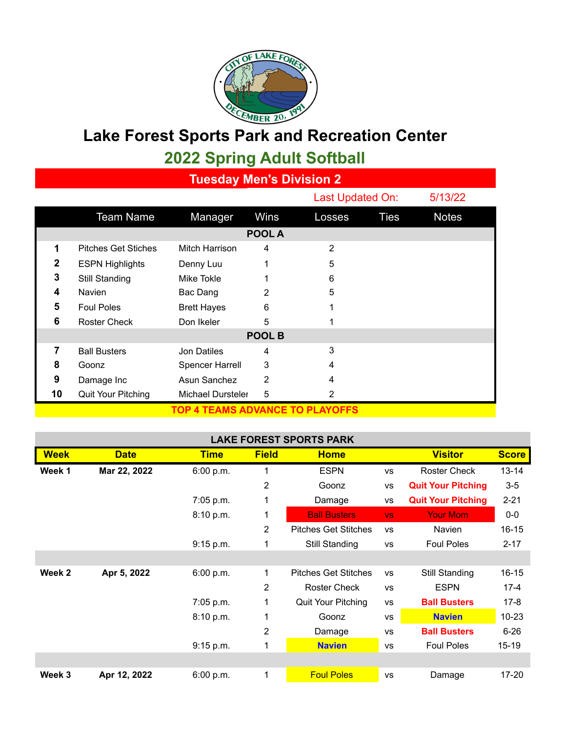

## **Lake Forest Sports Park and Recreation Center**

## **2022 Spring Adult Softball**

**Tuesday Men's Division 2**

|                                 |                            |                        |      |        | Last Updated On: |              |  |  |  |  |
|---------------------------------|----------------------------|------------------------|------|--------|------------------|--------------|--|--|--|--|
|                                 | <b>Team Name</b>           | Manager                | Wins | Losses | <b>Ties</b>      | <b>Notes</b> |  |  |  |  |
| POOL A                          |                            |                        |      |        |                  |              |  |  |  |  |
| 1                               | <b>Pitches Get Stiches</b> | Mitch Harrison         | 4    | 2      |                  |              |  |  |  |  |
| 2                               | <b>ESPN Highlights</b>     | Denny Luu              | 1    | 5      |                  |              |  |  |  |  |
| 3                               | Still Standing             | Mike Tokle             |      | 6      |                  |              |  |  |  |  |
| 4                               | <b>Navien</b>              | Bac Dang               | 2    | 5      |                  |              |  |  |  |  |
| 5                               | <b>Foul Poles</b>          | <b>Brett Hayes</b>     | 6    | 1      |                  |              |  |  |  |  |
| 6                               | <b>Roster Check</b>        | Don Ikeler             | 5    |        |                  |              |  |  |  |  |
| POOL B                          |                            |                        |      |        |                  |              |  |  |  |  |
| 7                               | <b>Ball Busters</b>        | Jon Datiles            | 4    | 3      |                  |              |  |  |  |  |
| 8                               | Goonz                      | <b>Spencer Harrell</b> | 3    | 4      |                  |              |  |  |  |  |
| 9                               | Damage Inc                 | Asun Sanchez           | 2    | 4      |                  |              |  |  |  |  |
| 10                              | Quit Your Pitching         | Michael Dursteler      | 5    | 2      |                  |              |  |  |  |  |
| TOP 4 TEAMS ADVANCE TO PLAYOFFS |                            |                        |      |        |                  |              |  |  |  |  |

## **LAKE FOREST SPORTS PARK**

| <b>Week</b> | <b>Date</b>  | <b>Time</b> | <b>Field</b>   | <b>Home</b>                 |           | <b>Visitor</b>            | <b>Score</b> |
|-------------|--------------|-------------|----------------|-----------------------------|-----------|---------------------------|--------------|
| Week 1      | Mar 22, 2022 | 6:00 p.m.   |                | <b>ESPN</b>                 | VS        | <b>Roster Check</b>       | $13 - 14$    |
|             |              |             | $\overline{2}$ | Goonz                       | <b>VS</b> | <b>Quit Your Pitching</b> | $3-5$        |
|             |              | 7:05 p.m.   | 1              | Damage                      | VS        | <b>Quit Your Pitching</b> | $2 - 21$     |
|             |              | 8:10 p.m.   | 1              | <b>Ball Busters</b>         | VS.       | <b>Your Mom</b>           | $0-0$        |
|             |              |             | 2              | <b>Pitches Get Stitches</b> | <b>VS</b> | <b>Navien</b>             | $16 - 15$    |
|             |              | 9:15 p.m.   | 1              | Still Standing              | <b>VS</b> | <b>Foul Poles</b>         | $2 - 17$     |
|             |              |             |                |                             |           |                           |              |
| Week 2      | Apr 5, 2022  | 6:00 p.m.   | 1              | <b>Pitches Get Stitches</b> | <b>VS</b> | Still Standing            | $16 - 15$    |
|             |              |             | 2              | <b>Roster Check</b>         | <b>VS</b> | <b>ESPN</b>               | $17 - 4$     |
|             |              | 7:05 p.m.   |                | Quit Your Pitching          | <b>VS</b> | <b>Ball Busters</b>       | $17 - 8$     |
|             |              | 8:10 p.m.   |                | Goonz                       | <b>VS</b> | <b>Navien</b>             | $10 - 23$    |
|             |              |             | 2              | Damage                      | <b>VS</b> | <b>Ball Busters</b>       | $6 - 26$     |
|             |              | 9:15 p.m.   | 1              | <b>Navien</b>               | <b>VS</b> | <b>Foul Poles</b>         | $15-19$      |
|             |              |             |                |                             |           |                           |              |
| Week 3      | Apr 12, 2022 | 6:00 p.m.   | 1              | <b>Foul Poles</b>           | <b>VS</b> | Damage                    | 17-20        |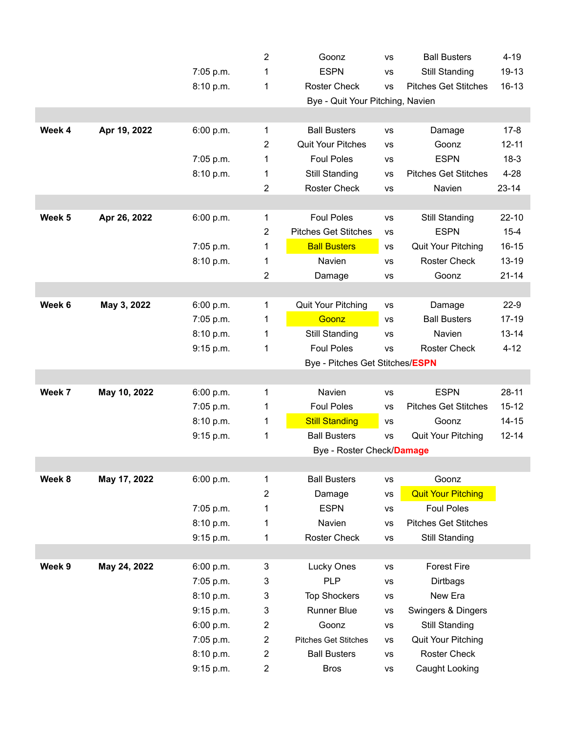|        |              |           | 2              | Goonz                                                           | <b>VS</b> | <b>Ball Busters</b>         | $4 - 19$  |  |  |  |
|--------|--------------|-----------|----------------|-----------------------------------------------------------------|-----------|-----------------------------|-----------|--|--|--|
|        |              | 7:05 p.m. | 1              | <b>ESPN</b><br>VS                                               |           | <b>Still Standing</b>       | 19-13     |  |  |  |
|        |              | 8:10 p.m. | 1              | <b>Pitches Get Stitches</b><br><b>Roster Check</b><br><b>VS</b> |           | $16 - 13$                   |           |  |  |  |
|        |              |           |                | Bye - Quit Your Pitching, Navien                                |           |                             |           |  |  |  |
|        |              |           |                |                                                                 |           |                             |           |  |  |  |
| Week 4 | Apr 19, 2022 | 6:00 p.m. | 1              | <b>Ball Busters</b>                                             | VS        | Damage                      | $17 - 8$  |  |  |  |
|        |              |           | 2              | <b>Quit Your Pitches</b>                                        | <b>VS</b> | Goonz                       | $12 - 11$ |  |  |  |
|        |              | 7:05 p.m. | 1              | <b>Foul Poles</b>                                               | VS        | <b>ESPN</b>                 | $18-3$    |  |  |  |
|        |              | 8:10 p.m. | 1              | Still Standing                                                  | <b>VS</b> | <b>Pitches Get Stitches</b> | $4 - 28$  |  |  |  |
|        |              |           | 2              | <b>Roster Check</b>                                             | <b>VS</b> | Navien                      | $23 - 14$ |  |  |  |
|        |              |           |                |                                                                 |           |                             |           |  |  |  |
| Week 5 | Apr 26, 2022 | 6:00 p.m. | 1              | <b>Foul Poles</b>                                               | VS        | Still Standing              | $22 - 10$ |  |  |  |
|        |              |           | 2              | <b>Pitches Get Stitches</b>                                     | VS        | <b>ESPN</b>                 | $15 - 4$  |  |  |  |
|        |              | 7:05 p.m. | 1              | <b>Ball Busters</b>                                             | VS        | <b>Quit Your Pitching</b>   | $16 - 15$ |  |  |  |
|        |              | 8:10 p.m. | 1              | Navien                                                          | <b>VS</b> | <b>Roster Check</b>         | $13 - 19$ |  |  |  |
|        |              |           | 2              | Damage                                                          | VS        | Goonz                       | $21 - 14$ |  |  |  |
|        |              |           |                |                                                                 |           |                             |           |  |  |  |
| Week 6 | May 3, 2022  | 6:00 p.m. | 1              | Quit Your Pitching                                              | <b>VS</b> | Damage                      | $22-9$    |  |  |  |
|        |              | 7:05 p.m. | 1              | Goonz                                                           | VS        | <b>Ball Busters</b>         | $17-19$   |  |  |  |
|        |              | 8:10 p.m. | 1              | Still Standing                                                  | VS        | Navien                      | $13 - 14$ |  |  |  |
|        |              | 9:15 p.m. | 1              | <b>Foul Poles</b>                                               | <b>VS</b> | <b>Roster Check</b>         | $4 - 12$  |  |  |  |
|        |              |           |                | Bye - Pitches Get Stitches/ESPN                                 |           |                             |           |  |  |  |
|        |              |           |                |                                                                 |           |                             |           |  |  |  |
| Week 7 | May 10, 2022 | 6:00 p.m. | 1              | Navien                                                          | <b>VS</b> | <b>ESPN</b>                 | $28 - 11$ |  |  |  |
|        |              | 7:05 p.m. | 1              | <b>Foul Poles</b>                                               | VS        | <b>Pitches Get Stitches</b> | $15 - 12$ |  |  |  |
|        |              | 8:10 p.m. | 1              | <b>Still Standing</b>                                           | VS        | Goonz                       | $14 - 15$ |  |  |  |
|        |              | 9:15 p.m. | 1              | <b>Ball Busters</b>                                             | <b>VS</b> | Quit Your Pitching          | $12 - 14$ |  |  |  |
|        |              |           |                | Bye - Roster Check/Damage                                       |           |                             |           |  |  |  |
|        |              |           |                |                                                                 |           |                             |           |  |  |  |
| Week 8 | May 17, 2022 | 6:00 p.m. | 1              | <b>Ball Busters</b>                                             | VS        | Goonz                       |           |  |  |  |
|        |              |           | $\overline{2}$ | Damage                                                          | <b>VS</b> | <b>Quit Your Pitching</b>   |           |  |  |  |
|        |              | 7:05 p.m. | 1              | <b>ESPN</b>                                                     | <b>VS</b> | <b>Foul Poles</b>           |           |  |  |  |
|        |              | 8:10 p.m. | 1              | Navien                                                          | <b>VS</b> | <b>Pitches Get Stitches</b> |           |  |  |  |
|        |              | 9:15 p.m. | 1              | Roster Check                                                    | VS        | Still Standing              |           |  |  |  |
| Week 9 |              |           |                |                                                                 |           | <b>Forest Fire</b>          |           |  |  |  |
|        | May 24, 2022 | 6:00 p.m. | 3              | Lucky Ones<br><b>PLP</b>                                        | VS        |                             |           |  |  |  |
|        |              | 7:05 p.m. | 3              |                                                                 | <b>VS</b> | Dirtbags<br>New Era         |           |  |  |  |
|        |              | 8:10 p.m. | 3              | <b>Top Shockers</b>                                             | VS        |                             |           |  |  |  |
|        |              | 9:15 p.m. | 3              | Runner Blue                                                     | <b>VS</b> | Swingers & Dingers          |           |  |  |  |
|        |              | 6:00 p.m. | $\overline{2}$ | Goonz                                                           | VS        | Still Standing              |           |  |  |  |
|        |              | 7:05 p.m. | $\overline{2}$ | <b>Pitches Get Stitches</b>                                     | VS        | Quit Your Pitching          |           |  |  |  |
|        |              | 8:10 p.m. | $\overline{2}$ | <b>Ball Busters</b>                                             | VS        | <b>Roster Check</b>         |           |  |  |  |
|        |              | 9:15 p.m. | $\overline{2}$ | <b>Bros</b>                                                     | <b>VS</b> | Caught Looking              |           |  |  |  |